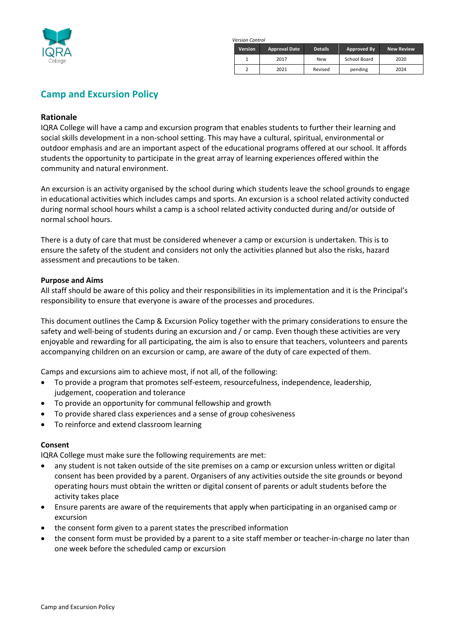

*Version Control*

| <b>Version</b> | <b>Approval Date</b> | <b>Details</b> | Approved By  | <b>New Review</b> |
|----------------|----------------------|----------------|--------------|-------------------|
|                | 2017                 | <b>New</b>     | School Board | 2020              |
|                | 2021                 | Revised        | pending      | 2024              |

# **Camp and Excursion Policy**

## **Rationale**

IQRA College will have a camp and excursion program that enables students to further their learning and social skills development in a non-school setting. This may have a cultural, spiritual, environmental or outdoor emphasis and are an important aspect of the educational programs offered at our school. It affords students the opportunity to participate in the great array of learning experiences offered within the community and natural environment.

An excursion is an activity organised by the school during which students leave the school grounds to engage in educational activities which includes camps and sports. An excursion is a school related activity conducted during normal school hours whilst a camp is a school related activity conducted during and/or outside of normal school hours.

There is a duty of care that must be considered whenever a camp or excursion is undertaken. This is to ensure the safety of the student and considers not only the activities planned but also the risks, hazard assessment and precautions to be taken.

#### **Purpose and Aims**

All staff should be aware of this policy and their responsibilities in its implementation and it is the Principal's responsibility to ensure that everyone is aware of the processes and procedures.

This document outlines the Camp & Excursion Policy together with the primary considerations to ensure the safety and well-being of students during an excursion and / or camp. Even though these activities are very enjoyable and rewarding for all participating, the aim is also to ensure that teachers, volunteers and parents accompanying children on an excursion or camp, are aware of the duty of care expected of them.

Camps and excursions aim to achieve most, if not all, of the following:

- To provide a program that promotes self-esteem, resourcefulness, independence, leadership, judgement, cooperation and tolerance
- To provide an opportunity for communal fellowship and growth
- To provide shared class experiences and a sense of group cohesiveness
- To reinforce and extend classroom learning

#### **Consent**

IQRA College must make sure the following requirements are met:

- any student is not taken outside of the site premises on a camp or excursion unless written or digital consent has been provided by a parent. Organisers of any activities outside the site grounds or beyond operating hours must obtain the written or digital consent of parents or adult students before the activity takes place
- Ensure parents are aware of the requirements that apply when participating in an organised camp or excursion
- the consent form given to a parent states the prescribed information
- the consent form must be provided by a parent to a site staff member or teacher-in-charge no later than one week before the scheduled camp or excursion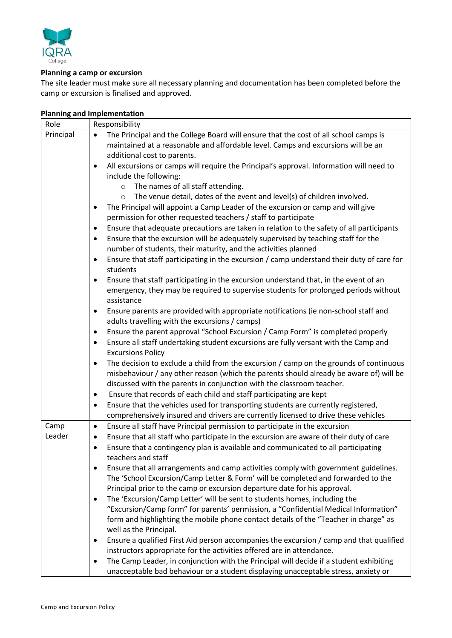

#### **Planning a camp or excursion**

The site leader must make sure all necessary planning and documentation has been completed before the camp or excursion is finalised and approved.

| Role      | Responsibility                                                                                         |  |  |
|-----------|--------------------------------------------------------------------------------------------------------|--|--|
| Principal | The Principal and the College Board will ensure that the cost of all school camps is<br>$\bullet$      |  |  |
|           | maintained at a reasonable and affordable level. Camps and excursions will be an                       |  |  |
|           | additional cost to parents.                                                                            |  |  |
|           | All excursions or camps will require the Principal's approval. Information will need to<br>$\bullet$   |  |  |
|           | include the following:<br>The names of all staff attending.<br>$\circ$                                 |  |  |
|           |                                                                                                        |  |  |
|           | The venue detail, dates of the event and level(s) of children involved.<br>$\circ$                     |  |  |
|           | The Principal will appoint a Camp Leader of the excursion or camp and will give<br>٠                   |  |  |
|           | permission for other requested teachers / staff to participate                                         |  |  |
|           | Ensure that adequate precautions are taken in relation to the safety of all participants               |  |  |
|           | Ensure that the excursion will be adequately supervised by teaching staff for the<br>٠                 |  |  |
|           | number of students, their maturity, and the activities planned                                         |  |  |
|           | Ensure that staff participating in the excursion / camp understand their duty of care for<br>$\bullet$ |  |  |
|           | students                                                                                               |  |  |
|           | Ensure that staff participating in the excursion understand that, in the event of an<br>٠              |  |  |
|           | emergency, they may be required to supervise students for prolonged periods without                    |  |  |
|           | assistance                                                                                             |  |  |
|           | Ensure parents are provided with appropriate notifications (ie non-school staff and<br>$\bullet$       |  |  |
|           | adults travelling with the excursions / camps)                                                         |  |  |
|           | Ensure the parent approval "School Excursion / Camp Form" is completed properly<br>٠                   |  |  |
|           | Ensure all staff undertaking student excursions are fully versant with the Camp and<br>$\bullet$       |  |  |
|           | <b>Excursions Policy</b>                                                                               |  |  |
|           | The decision to exclude a child from the excursion / camp on the grounds of continuous<br>$\bullet$    |  |  |
|           | misbehaviour / any other reason (which the parents should already be aware of) will be                 |  |  |
|           | discussed with the parents in conjunction with the classroom teacher.                                  |  |  |
|           | Ensure that records of each child and staff participating are kept<br>٠                                |  |  |
|           | Ensure that the vehicles used for transporting students are currently registered,<br>٠                 |  |  |
|           | comprehensively insured and drivers are currently licensed to drive these vehicles                     |  |  |
| Camp      | Ensure all staff have Principal permission to participate in the excursion<br>$\bullet$                |  |  |
| Leader    | Ensure that all staff who participate in the excursion are aware of their duty of care<br>$\bullet$    |  |  |
|           | Ensure that a contingency plan is available and communicated to all participating<br>٠                 |  |  |
|           | teachers and staff                                                                                     |  |  |
|           | Ensure that all arrangements and camp activities comply with government guidelines.<br>$\bullet$       |  |  |
|           | The 'School Excursion/Camp Letter & Form' will be completed and forwarded to the                       |  |  |
|           | Principal prior to the camp or excursion departure date for his approval.                              |  |  |
|           | The 'Excursion/Camp Letter' will be sent to students homes, including the<br>$\bullet$                 |  |  |
|           | "Excursion/Camp form" for parents' permission, a "Confidential Medical Information"                    |  |  |
|           | form and highlighting the mobile phone contact details of the "Teacher in charge" as                   |  |  |
|           | well as the Principal.                                                                                 |  |  |
|           | Ensure a qualified First Aid person accompanies the excursion / camp and that qualified                |  |  |
|           | instructors appropriate for the activities offered are in attendance.                                  |  |  |
|           | The Camp Leader, in conjunction with the Principal will decide if a student exhibiting                 |  |  |

unacceptable bad behaviour or a student displaying unacceptable stress, anxiety or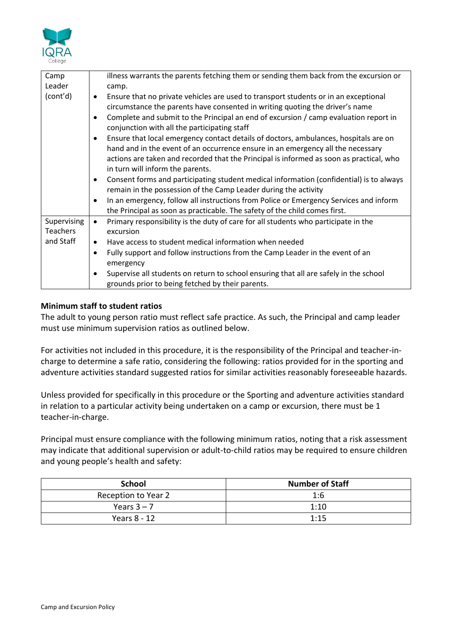

| Camp<br>Leader | illness warrants the parents fetching them or sending them back from the excursion or<br>camp.                                                                                                                            |  |  |
|----------------|---------------------------------------------------------------------------------------------------------------------------------------------------------------------------------------------------------------------------|--|--|
| (cont'd)       | Ensure that no private vehicles are used to transport students or in an exceptional                                                                                                                                       |  |  |
|                | ٠                                                                                                                                                                                                                         |  |  |
|                | circumstance the parents have consented in writing quoting the driver's name<br>Complete and submit to the Principal an end of excursion / camp evaluation report in<br>٠<br>conjunction with all the participating staff |  |  |
|                |                                                                                                                                                                                                                           |  |  |
|                | Ensure that local emergency contact details of doctors, ambulances, hospitals are on                                                                                                                                      |  |  |
|                | hand and in the event of an occurrence ensure in an emergency all the necessary                                                                                                                                           |  |  |
|                | actions are taken and recorded that the Principal is informed as soon as practical, who                                                                                                                                   |  |  |
|                | in turn will inform the parents.                                                                                                                                                                                          |  |  |
|                | Consent forms and participating student medical information (confidential) is to always<br>٠                                                                                                                              |  |  |
|                | remain in the possession of the Camp Leader during the activity                                                                                                                                                           |  |  |
|                | In an emergency, follow all instructions from Police or Emergency Services and inform<br>٠                                                                                                                                |  |  |
|                | the Principal as soon as practicable. The safety of the child comes first.                                                                                                                                                |  |  |
| Supervising    | Primary responsibility is the duty of care for all students who participate in the<br>$\bullet$                                                                                                                           |  |  |
| Teachers       | excursion                                                                                                                                                                                                                 |  |  |
| and Staff      | Have access to student medical information when needed<br>٠                                                                                                                                                               |  |  |
|                | Fully support and follow instructions from the Camp Leader in the event of an<br>٠                                                                                                                                        |  |  |
|                | emergency                                                                                                                                                                                                                 |  |  |
|                | Supervise all students on return to school ensuring that all are safely in the school<br>٠                                                                                                                                |  |  |
|                | grounds prior to being fetched by their parents.                                                                                                                                                                          |  |  |

# **Minimum staff to student ratios**

The adult to young person ratio must reflect safe practice. As such, the Principal and camp leader must use minimum supervision ratios as outlined below.

For activities not included in this procedure, it is the responsibility of the Principal and teacher-incharge to determine a safe ratio, considering the following: ratios provided for in the sporting and adventure activities standard suggested ratios for similar activities reasonably foreseeable hazards.

Unless provided for specifically in this procedure or the Sporting and adventure activities standard in relation to a particular activity being undertaken on a camp or excursion, there must be 1 teacher-in-charge.

Principal must ensure compliance with the following minimum ratios, noting that a risk assessment may indicate that additional supervision or adult-to-child ratios may be required to ensure children and young people's health and safety:

| <b>School</b>       | <b>Number of Staff</b> |
|---------------------|------------------------|
| Reception to Year 2 | 1:6                    |
| Years $3 - 7$       | 1:10                   |
| Years 8 - 12        | 1:15                   |